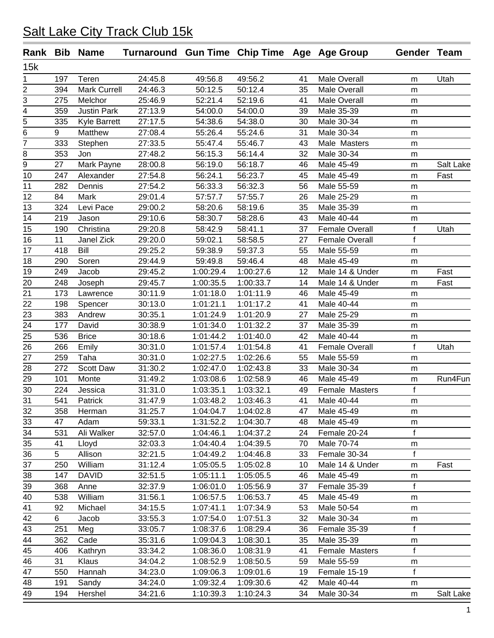|     |     | Rank Bib Name       | Turnaround Gun Time Chip Time Age Age Group |                        |           |    |                       | Gender Team       |           |
|-----|-----|---------------------|---------------------------------------------|------------------------|-----------|----|-----------------------|-------------------|-----------|
| 15k |     |                     |                                             |                        |           |    |                       |                   |           |
| 1   | 197 | Teren               | 24:45.8                                     | 49:56.8                | 49:56.2   | 41 | Male Overall          | m                 | Utah      |
| 2   | 394 | <b>Mark Currell</b> | 24:46.3                                     | 50:12.5                | 50:12.4   | 35 | <b>Male Overall</b>   | m                 |           |
| 3   | 275 | Melchor             | 25:46.9                                     | 52:21.4                | 52:19.6   | 41 | <b>Male Overall</b>   | m                 |           |
| 4   | 359 | <b>Justin Park</b>  | 27:13.9                                     | 54:00.0                | 54:00.0   | 39 | Male 35-39            | m                 |           |
| 5   | 335 | <b>Kyle Barrett</b> | 27:17.5                                     | 54:38.6                | 54:38.0   | 30 | Male 30-34            | m                 |           |
| 6   | 9   | Matthew             | 27:08.4                                     | 55:26.4                | 55:24.6   | 31 | Male 30-34            | m                 |           |
| 7   | 333 | Stephen             | 27:33.5                                     | 55:47.4                | 55:46.7   | 43 | Male Masters          | ${\sf m}$         |           |
| 8   | 353 | Jon                 | 27:48.2                                     | 56:15.3                | 56:14.4   | 32 | Male 30-34            | m                 |           |
| 9   | 27  | Mark Payne          | 28:00.8                                     | 56:19.0                | 56:18.7   | 46 | Male 45-49            | m                 | Salt Lake |
| 10  | 247 | Alexander           | 27:54.8                                     | 56:24.1                | 56:23.7   | 45 | Male 45-49            | m                 | Fast      |
| 11  | 282 | Dennis              | 27:54.2                                     | 56:33.3                | 56:32.3   | 56 | Male 55-59            | m                 |           |
| 12  | 84  | Mark                | 29:01.4                                     | 57:57.7                | 57:55.7   | 26 | Male 25-29            | m                 |           |
| 13  | 324 | Levi Pace           | 29:00.2                                     | 58:20.6                | 58:19.6   | 35 | Male 35-39            | m                 |           |
| 14  | 219 | Jason               | 29:10.6                                     | 58:30.7                | 58:28.6   | 43 | Male 40-44            | m                 |           |
| 15  | 190 | Christina           | 29:20.8                                     | 58:42.9                | 58:41.1   | 37 | <b>Female Overall</b> | f                 | Utah      |
| 16  | 11  | Janel Zick          | 29:20.0                                     | 59:02.1                | 58:58.5   | 27 | <b>Female Overall</b> | $\mathsf{f}$      |           |
| 17  | 418 | Bill                | 29:25.2                                     | 59:38.9                | 59:37.3   | 55 | Male 55-59            | m                 |           |
| 18  | 290 | Soren               | 29:44.9                                     | 59:49.8                | 59:46.4   | 48 | Male 45-49            | m                 |           |
| 19  | 249 | Jacob               | 29:45.2                                     | 1:00:29.4              | 1:00:27.6 | 12 | Male 14 & Under       | m                 | Fast      |
| 20  | 248 | Joseph              | 29:45.7                                     | 1:00:35.5              | 1:00:33.7 | 14 | Male 14 & Under       | m                 | Fast      |
| 21  | 173 | Lawrence            | 30:11.9                                     | 1:01:18.0              | 1:01:11.9 | 46 | Male 45-49            | m                 |           |
| 22  | 198 | Spencer             | 30:13.0                                     | 1:01:21.1              | 1:01:17.2 | 41 | Male 40-44            | m                 |           |
| 23  | 383 | Andrew              | 30:35.1                                     | 1:01:24.9              | 1:01:20.9 | 27 | Male 25-29            | m                 |           |
| 24  | 177 | David               | 30:38.9                                     | 1:01:34.0              | 1:01:32.2 | 37 | Male 35-39            | m                 |           |
| 25  | 536 | <b>Brice</b>        | 30:18.6                                     | 1:01:44.2              | 1:01:40.0 | 42 | Male 40-44            | m                 |           |
| 26  | 266 | Emily               | 30:31.0                                     | 1:01:57.4              | 1:01:54.8 | 41 | <b>Female Overall</b> | f                 | Utah      |
| 27  | 259 | Taha                | 30:31.0                                     | 1:02:27.5              | 1:02:26.6 | 55 | Male 55-59            | m                 |           |
| 28  | 272 | Scott Daw           | 31:30.2                                     | 1:02:47.0              | 1:02:43.8 | 33 | Male 30-34            |                   |           |
| 29  | 101 | Monte               | 31:49.2                                     | 1:03:08.6              | 1:02:58.9 | 46 | Male 45-49            | m                 | Run4Fun   |
| 30  | 224 | Jessica             | 31:31.0                                     | 1:03:35.1              | 1:03:32.1 | 49 | Female Masters        | m<br>$\mathsf{f}$ |           |
| 31  | 541 | Patrick             | 31:47.9                                     | 1:03:48.2              | 1:03:46.3 | 41 | Male 40-44            |                   |           |
|     |     |                     |                                             |                        | 1:04:02.8 |    | Male 45-49            | m                 |           |
| 32  | 358 | Herman              | 31:25.7                                     | 1:04:04.7              |           | 47 |                       | m                 |           |
| 33  | 47  | Adam                | 59:33.1                                     | 1:31:52.2              | 1:04:30.7 | 48 | Male 45-49            | m<br>$\mathsf{f}$ |           |
| 34  | 531 | Ali Walker          | 32:57.0<br>32:03.3                          | 1:04:46.1<br>1:04:40.4 | 1:04:37.2 | 24 | Female 20-24          |                   |           |
| 35  | 41  | Lloyd               |                                             |                        | 1:04:39.5 | 70 | Male 70-74            | m                 |           |
| 36  | 5   | Allison             | 32:21.5                                     | 1:04:49.2              | 1:04:46.8 | 33 | Female 30-34          | f                 |           |
| 37  | 250 | William             | 31:12.4                                     | 1:05:05.5              | 1:05:02.8 | 10 | Male 14 & Under       | m                 | Fast      |
| 38  | 147 | <b>DAVID</b>        | 32:51.5                                     | 1:05:11.1              | 1:05:05.5 | 46 | Male 45-49            | m                 |           |
| 39  | 368 | Anne                | 32:37.9                                     | 1:06:01.0              | 1:05:56.9 | 37 | Female 35-39          | $\mathsf{f}$      |           |
| 40  | 538 | William             | 31:56.1                                     | 1:06:57.5              | 1:06:53.7 | 45 | Male 45-49            | m                 |           |
| 41  | 92  | Michael             | 34:15.5                                     | 1:07:41.1              | 1:07:34.9 | 53 | Male 50-54            | m                 |           |
| 42  | 6   | Jacob               | 33:55.3                                     | 1:07:54.0              | 1:07:51.3 | 32 | Male 30-34            | m                 |           |
| 43  | 251 | Meg                 | 33:05.7                                     | 1:08:37.6              | 1:08:29.4 | 36 | Female 35-39          | f                 |           |
| 44  | 362 | Cade                | 35:31.6                                     | 1:09:04.3              | 1:08:30.1 | 35 | Male 35-39            | m                 |           |
| 45  | 406 | Kathryn             | 33:34.2                                     | 1:08:36.0              | 1:08:31.9 | 41 | Female Masters        | f                 |           |
| 46  | 31  | Klaus               | 34:04.2                                     | 1:08:52.9              | 1:08:50.5 | 59 | Male 55-59            | m                 |           |
| 47  | 550 | Hannah              | 34:23.0                                     | 1:09:06.3              | 1:09:01.6 | 19 | Female 15-19          | $\mathsf{f}$      |           |
| 48  | 191 | Sandy               | 34:24.0                                     | 1:09:32.4              | 1:09:30.6 | 42 | Male 40-44            | m                 |           |
| 49  | 194 | Hershel             | 34:21.6                                     | 1:10:39.3              | 1:10:24.3 | 34 | Male 30-34            | m                 | Salt Lake |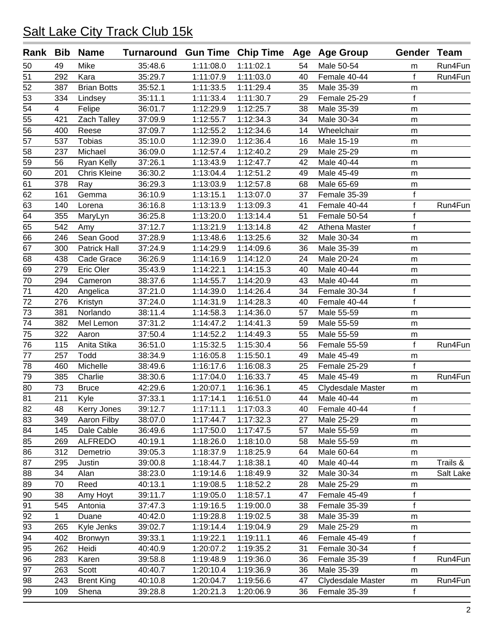| Rank | Bib            | <b>Name</b>         | Turnaround Gun Time Chip Time Age Age Group |           |           |    |                   | Gender Team  |           |
|------|----------------|---------------------|---------------------------------------------|-----------|-----------|----|-------------------|--------------|-----------|
| 50   | 49             | Mike                | 35:48.6                                     | 1:11:08.0 | 1:11:02.1 | 54 | Male 50-54        | m            | Run4Fun   |
| 51   | 292            | Kara                | 35:29.7                                     | 1:11:07.9 | 1:11:03.0 | 40 | Female 40-44      | f            | Run4Fun   |
| 52   | 387            | <b>Brian Botts</b>  | 35:52.1                                     | 1:11:33.5 | 1:11:29.4 | 35 | Male 35-39        | m            |           |
| 53   | 334            | Lindsey             | 35:11.1                                     | 1:11:33.4 | 1:11:30.7 | 29 | Female 25-29      | f            |           |
| 54   | $\overline{4}$ | Felipe              | 36:01.7                                     | 1:12:29.9 | 1:12:25.7 | 38 | Male 35-39        | m            |           |
| 55   | 421            | Zach Talley         | 37:09.9                                     | 1:12:55.7 | 1:12:34.3 | 34 | Male 30-34        | m            |           |
| 56   | 400            | Reese               | 37:09.7                                     | 1:12:55.2 | 1:12:34.6 | 14 | Wheelchair        | m            |           |
| 57   | 537            | <b>Tobias</b>       | 35:10.0                                     | 1:12:39.0 | 1:12:36.4 | 16 | Male 15-19        | m            |           |
| 58   | 237            | Michael             | 36:09.0                                     | 1:12:57.4 | 1:12:40.2 | 29 | Male 25-29        | m            |           |
| 59   | 56             | Ryan Kelly          | 37:26.1                                     | 1:13:43.9 | 1:12:47.7 | 42 | Male 40-44        | m            |           |
| 60   | 201            | <b>Chris Kleine</b> | 36:30.2                                     | 1:13:04.4 | 1:12:51.2 | 49 | Male 45-49        | m            |           |
| 61   | 378            | Ray                 | 36:29.3                                     | 1:13:03.9 | 1:12:57.8 | 68 | Male 65-69        | m            |           |
| 62   | 161            | Gemma               | 36:10.9                                     | 1:13:15.1 | 1:13:07.0 | 37 | Female 35-39      | $\mathbf f$  |           |
| 63   | 140            | Lorena              | 36:16.8                                     | 1:13:13.9 | 1:13:09.3 | 41 | Female 40-44      | f            | Run4Fun   |
| 64   | 355            | MaryLyn             | 36:25.8                                     | 1:13:20.0 | 1:13:14.4 | 51 | Female 50-54      | f            |           |
| 65   | 542            | Amy                 | 37:12.7                                     | 1:13:21.9 | 1:13:14.8 | 42 | Athena Master     | $\mathsf{f}$ |           |
| 66   | 246            | Sean Good           | 37:28.9                                     | 1:13:48.6 | 1:13:25.6 | 32 | Male 30-34        | m            |           |
| 67   | 300            | <b>Patrick Hall</b> | 37:24.9                                     | 1:14:29.9 | 1:14:09.6 | 36 | Male 35-39        | m            |           |
| 68   | 438            | Cade Grace          | 36:26.9                                     | 1:14:16.9 | 1:14:12.0 | 24 | Male 20-24        | m            |           |
| 69   | 279            | Eric Oler           | 35:43.9                                     | 1:14:22.1 | 1:14:15.3 | 40 | Male 40-44        | m            |           |
| 70   | 294            | Cameron             | 38:37.6                                     | 1:14:55.7 | 1:14:20.9 | 43 | Male 40-44        | ${\sf m}$    |           |
| 71   | 420            | Angelica            | 37:21.0                                     | 1:14:39.0 | 1:14:26.4 | 34 | Female 30-34      | $\mathsf f$  |           |
| 72   | 276            | Kristyn             | 37:24.0                                     | 1:14:31.9 | 1:14:28.3 | 40 | Female 40-44      | $\mathbf f$  |           |
| 73   | 381            | Norlando            | 38:11.4                                     | 1:14:58.3 | 1:14:36.0 | 57 | Male 55-59        | m            |           |
| 74   | 382            | Mel Lemon           | 37:31.2                                     | 1:14:47.2 | 1:14:41.3 | 59 | Male 55-59        | m            |           |
| 75   | 322            | Aaron               | 37:50.4                                     | 1:14:52.2 | 1:14:49.3 | 55 | Male 55-59        | m            |           |
| 76   | 115            | Anita Stika         | 36:51.0                                     | 1:15:32.5 | 1:15:30.4 | 56 | Female 55-59      | f            | Run4Fun   |
| 77   | 257            | Todd                | 38:34.9                                     | 1:16:05.8 | 1:15:50.1 | 49 | Male 45-49        | m            |           |
| 78   | 460            | Michelle            | 38:49.6                                     | 1:16:17.6 | 1:16:08.3 | 25 | Female 25-29      | f            |           |
| 79   | 385            | Charlie             | 38:30.6                                     | 1:17:04.0 | 1:16:33.7 | 45 | Male 45-49        | m            | Run4Fun   |
| 80   | 73             | <b>Bruce</b>        | 42:29.6                                     | 1:20:07.1 | 1:16:36.1 | 45 | Clydesdale Master | m            |           |
| 81   | 211            | Kyle                | 37:33.1                                     | 1:17:14.1 | 1:16:51.0 | 44 | Male 40-44        | m            |           |
| 82   | 48             | Kerry Jones         | 39:12.7                                     | 1:17:11.1 | 1:17:03.3 | 40 | Female 40-44      | f            |           |
| 83   | 349            | Aaron Filby         | 38:07.0                                     | 1:17:44.7 | 1:17:32.3 | 27 | Male 25-29        | m            |           |
| 84   | 145            | Dale Cable          | 36:49.6                                     | 1:17:50.0 | 1:17:47.5 | 57 | Male 55-59        | m            |           |
| 85   | 269            | <b>ALFREDO</b>      | 40:19.1                                     | 1:18:26.0 | 1:18:10.0 | 58 | Male 55-59        | m            |           |
| 86   | 312            | Demetrio            | 39:05.3                                     | 1:18:37.9 | 1:18:25.9 | 64 | Male 60-64        | m            |           |
| 87   | 295            | Justin              | 39:00.8                                     | 1:18:44.7 | 1:18:38.1 | 40 | Male 40-44        | m            | Trails &  |
| 88   | 34             | Alan                | 38:23.0                                     | 1:19:14.6 | 1:18:49.9 | 32 | Male 30-34        | m            | Salt Lake |
| 89   | 70             | Reed                | 40:13.1                                     | 1:19:08.5 | 1:18:52.2 | 28 | Male 25-29        | m            |           |
| 90   | 38             | Amy Hoyt            | 39:11.7                                     | 1:19:05.0 | 1:18:57.1 | 47 | Female 45-49      | $\mathsf f$  |           |
| 91   | 545            | Antonia             | 37:47.3                                     | 1:19:16.5 | 1:19:00.0 | 38 | Female 35-39      | $\mathbf f$  |           |
| 92   | 1              | Duane               | 40:42.0                                     | 1:19:28.8 | 1:19:02.5 | 38 | Male 35-39        | m            |           |
| 93   | 265            | Kyle Jenks          | 39:02.7                                     | 1:19:14.4 | 1:19:04.9 | 29 | Male 25-29        | m            |           |
| 94   | 402            | Bronwyn             | 39:33.1                                     | 1:19:22.1 | 1:19:11.1 | 46 | Female 45-49      | f            |           |
| 95   | 262            | Heidi               | 40:40.9                                     | 1:20:07.2 | 1:19:35.2 | 31 | Female 30-34      | f            |           |
| 96   | 283            | Karen               | 39:58.8                                     | 1:19:48.9 | 1:19:36.0 | 36 | Female 35-39      | f            | Run4Fun   |
| 97   | 263            | Scott               | 40:40.7                                     | 1:20:10.4 | 1:19:36.9 | 36 | Male 35-39        | m            |           |
| 98   | 243            | <b>Brent King</b>   | 40:10.8                                     | 1:20:04.7 | 1:19:56.6 | 47 | Clydesdale Master | m            | Run4Fun   |
| 99   | 109            | Shena               | 39:28.8                                     | 1:20:21.3 | 1:20:06.9 | 36 | Female 35-39      | f            |           |
|      |                |                     |                                             |           |           |    |                   |              |           |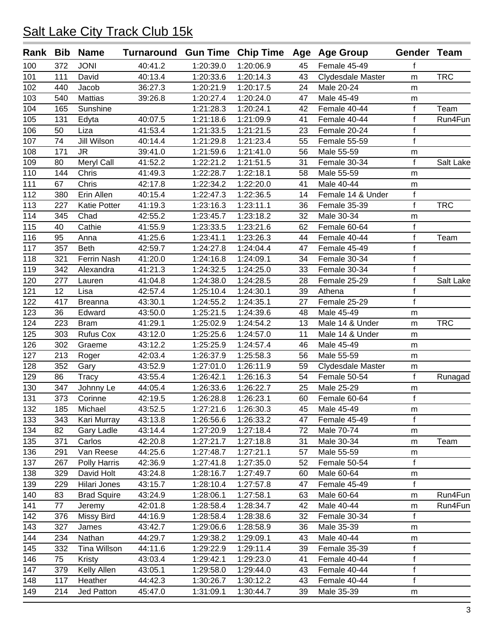|     |     | Rank Bib Name       | Turnaround Gun Time Chip Time Age Age Group |           |           |    |                   | Gender Team  |            |
|-----|-----|---------------------|---------------------------------------------|-----------|-----------|----|-------------------|--------------|------------|
| 100 | 372 | <b>JONI</b>         | 40:41.2                                     | 1:20:39.0 | 1:20:06.9 | 45 | Female 45-49      | f            |            |
| 101 | 111 | David               | 40:13.4                                     | 1:20:33.6 | 1:20:14.3 | 43 | Clydesdale Master | m            | <b>TRC</b> |
| 102 | 440 | Jacob               | 36:27.3                                     | 1:20:21.9 | 1:20:17.5 | 24 | Male 20-24        | m            |            |
| 103 | 540 | <b>Mattias</b>      | 39:26.8                                     | 1:20:27.4 | 1:20:24.0 | 47 | Male 45-49        | m            |            |
| 104 | 165 | Sunshine            |                                             | 1:21:28.3 | 1:20:24.1 | 42 | Female 40-44      | f            | Team       |
| 105 | 131 | Edyta               | 40:07.5                                     | 1:21:18.6 | 1:21:09.9 | 41 | Female 40-44      | f            | Run4Fun    |
| 106 | 50  | Liza                | 41:53.4                                     | 1:21:33.5 | 1:21:21.5 | 23 | Female 20-24      | f            |            |
| 107 | 74  | Jill Wilson         | 40:14.4                                     | 1:21:29.8 | 1:21:23.4 | 55 | Female 55-59      | $\mathbf f$  |            |
| 108 | 171 | <b>JR</b>           | 39:41.0                                     | 1:21:59.6 | 1:21:41.0 | 56 | Male 55-59        | m            |            |
| 109 | 80  | Meryl Call          | 41:52.2                                     | 1:22:21.2 | 1:21:51.5 | 31 | Female 30-34      | f            | Salt Lake  |
| 110 | 144 | Chris               | 41:49.3                                     | 1:22:28.7 | 1:22:18.1 | 58 | Male 55-59        | m            |            |
| 111 | 67  | Chris               | 42:17.8                                     | 1:22:34.2 | 1:22:20.0 | 41 | Male 40-44        | m            |            |
| 112 | 380 | Erin Allen          | 40:15.4                                     | 1:22:47.3 | 1:22:36.5 | 14 | Female 14 & Under | f            |            |
| 113 | 227 | <b>Katie Potter</b> | 41:19.3                                     | 1:23:16.3 | 1:23:11.1 | 36 | Female 35-39      | f            | <b>TRC</b> |
| 114 | 345 | Chad                | 42:55.2                                     | 1:23:45.7 | 1:23:18.2 | 32 | Male 30-34        | m            |            |
| 115 | 40  | Cathie              | 41:55.9                                     | 1:23:33.5 | 1:23:21.6 | 62 | Female 60-64      | f            |            |
| 116 | 95  | Anna                | 41:25.6                                     | 1:23:41.1 | 1:23:26.3 | 44 | Female 40-44      | f            | Team       |
| 117 | 357 | <b>Beth</b>         | 42:59.7                                     | 1:24:27.8 | 1:24:04.4 | 47 | Female 45-49      | f            |            |
| 118 | 321 | <b>Ferrin Nash</b>  | 41:20.0                                     | 1:24:16.8 | 1:24:09.1 | 34 | Female 30-34      | f            |            |
| 119 | 342 | Alexandra           | 41:21.3                                     | 1:24:32.5 | 1:24:25.0 | 33 | Female 30-34      | f            |            |
| 120 | 277 | Lauren              | 41:04.8                                     | 1:24:38.0 | 1:24:28.5 | 28 | Female 25-29      | f            | Salt Lake  |
| 121 | 12  | Lisa                | 42:57.4                                     | 1:25:10.4 | 1:24:30.1 | 39 | Athena            | $\mathsf{f}$ |            |
| 122 | 417 | <b>Breanna</b>      | 43:30.1                                     | 1:24:55.2 | 1:24:35.1 | 27 | Female 25-29      | f            |            |
| 123 | 36  | Edward              | 43:50.0                                     | 1:25:21.5 | 1:24:39.6 | 48 | Male 45-49        | m            |            |
| 124 | 223 | <b>Bram</b>         | 41:29.1                                     | 1:25:02.9 | 1:24:54.2 | 13 | Male 14 & Under   | m            | <b>TRC</b> |
| 125 | 303 | <b>Rufus Cox</b>    | 43:12.0                                     | 1:25:25.6 | 1:24:57.0 | 11 | Male 14 & Under   | m            |            |
| 126 | 302 | Graeme              | 43:12.2                                     | 1:25:25.9 | 1:24:57.4 | 46 | Male 45-49        | m            |            |
| 127 | 213 | Roger               | 42:03.4                                     | 1:26:37.9 | 1:25:58.3 | 56 | Male 55-59        | m            |            |
| 128 | 352 | Gary                | 43:52.9                                     | 1:27:01.0 | 1:26:11.9 | 59 | Clydesdale Master | m            |            |
| 129 | 86  | <b>Tracy</b>        | 43:55.4                                     | 1:26:42.1 | 1:26:16.3 | 54 | Female 50-54      | f            | Runagad    |
| 130 | 347 | Johnny Le           | 44:05.4                                     | 1:26:33.6 | 1:26:22.7 | 25 | Male 25-29        | m            |            |
| 131 | 373 | Corinne             | 42:19.5                                     | 1:26:28.8 | 1:26:23.1 | 60 | Female 60-64      | f            |            |
| 132 | 185 | Michael             | 43:52.5                                     | 1:27:21.6 | 1:26:30.3 | 45 | Male 45-49        | m            |            |
| 133 | 343 | Kari Murray         | 43:13.8                                     | 1:26:56.6 | 1:26:33.2 | 47 | Female 45-49      | f            |            |
| 134 | 82  | Gary Ladle          | 43:14.4                                     | 1:27:20.9 | 1:27:18.4 | 72 | Male 70-74        | m            |            |
| 135 | 371 | Carlos              | 42:20.8                                     | 1:27:21.7 | 1:27:18.8 | 31 | Male 30-34        | m            | Team       |
| 136 | 291 | Van Reese           | 44:25.6                                     | 1:27:48.7 | 1:27:21.1 | 57 | Male 55-59        | m            |            |
| 137 | 267 | Polly Harris        | 42:36.9                                     | 1:27:41.8 | 1:27:35.0 | 52 | Female 50-54      | f            |            |
| 138 | 329 | David Holt          | 43:24.8                                     | 1:28:16.7 | 1:27:49.7 | 60 | Male 60-64        | m            |            |
| 139 | 229 | Hilari Jones        | 43:15.7                                     | 1:28:10.4 | 1:27:57.8 | 47 | Female 45-49      | f            |            |
| 140 | 83  | <b>Brad Squire</b>  | 43:24.9                                     | 1:28:06.1 | 1:27:58.1 | 63 | Male 60-64        | m            | Run4Fun    |
| 141 | 77  | Jeremy              | 42:01.8                                     | 1:28:58.4 | 1:28:34.7 | 42 | Male 40-44        | m            | Run4Fun    |
| 142 | 376 | Missy Bird          | 44:16.9                                     | 1:28:58.4 | 1:28:38.6 | 32 | Female 30-34      | f            |            |
| 143 | 327 | James               | 43:42.7                                     | 1:29:06.6 | 1:28:58.9 | 36 | Male 35-39        | m            |            |
| 144 | 234 | Nathan              | 44:29.7                                     | 1:29:38.2 | 1:29:09.1 | 43 | Male 40-44        | m            |            |
| 145 | 332 | Tina Willson        | 44:11.6                                     | 1:29:22.9 | 1:29:11.4 | 39 | Female 35-39      | f            |            |
| 146 | 75  | Kristy              | 43:03.4                                     | 1:29:42.1 | 1:29:23.0 | 41 | Female 40-44      | f            |            |
| 147 | 379 | Kelly Allen         | 43:05.1                                     | 1:29:58.0 | 1:29:44.0 | 43 | Female 40-44      | f            |            |
| 148 | 117 | Heather             | 44:42.3                                     | 1:30:26.7 | 1:30:12.2 | 43 | Female 40-44      | f            |            |
| 149 | 214 | Jed Patton          | 45:47.0                                     | 1:31:09.1 | 1:30:44.7 | 39 | Male 35-39        | m            |            |
|     |     |                     |                                             |           |           |    |                   |              |            |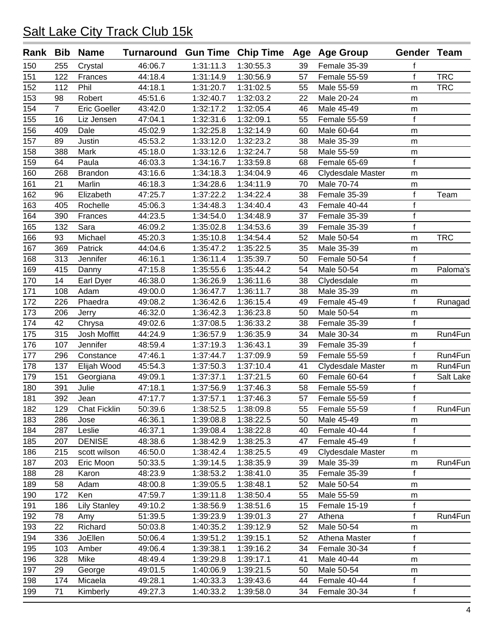| Rank Bib |                | <b>Name</b>         | Turnaround Gun Time Chip Time Age Age Group |           |           |    |                   | Gender Team  |            |
|----------|----------------|---------------------|---------------------------------------------|-----------|-----------|----|-------------------|--------------|------------|
| 150      | 255            | Crystal             | 46:06.7                                     | 1:31:11.3 | 1:30:55.3 | 39 | Female 35-39      | f            |            |
| 151      | 122            | Frances             | 44:18.4                                     | 1:31:14.9 | 1:30:56.9 | 57 | Female 55-59      | f            | <b>TRC</b> |
| 152      | 112            | Phil                | 44:18.1                                     | 1:31:20.7 | 1:31:02.5 | 55 | Male 55-59        | m            | <b>TRC</b> |
| 153      | 98             | Robert              | 45:51.6                                     | 1:32:40.7 | 1:32:03.2 | 22 | Male 20-24        | m            |            |
| 154      | $\overline{7}$ | Eric Goeller        | 43:42.0                                     | 1:32:17.2 | 1:32:05.4 | 46 | Male 45-49        | m            |            |
| 155      | 16             | Liz Jensen          | 47:04.1                                     | 1:32:31.6 | 1:32:09.1 | 55 | Female 55-59      | f            |            |
| 156      | 409            | Dale                | 45:02.9                                     | 1:32:25.8 | 1:32:14.9 | 60 | Male 60-64        | m            |            |
| 157      | 89             | Justin              | 45:53.2                                     | 1:33:12.0 | 1:32:23.2 | 38 | Male 35-39        | ${\sf m}$    |            |
| 158      | 388            | Mark                | 45:18.0                                     | 1:33:12.6 | 1:32:24.7 | 58 | Male 55-59        | m            |            |
| 159      | 64             | Paula               | 46:03.3                                     | 1:34:16.7 | 1:33:59.8 | 68 | Female 65-69      | f            |            |
| 160      | 268            | <b>Brandon</b>      | 43:16.6                                     | 1:34:18.3 | 1:34:04.9 | 46 | Clydesdale Master | m            |            |
| 161      | 21             | Marlin              | 46:18.3                                     | 1:34:28.6 | 1:34:11.9 | 70 | Male 70-74        | m            |            |
| 162      | 96             | Elizabeth           | 47:25.7                                     | 1:37:22.2 | 1:34:22.4 | 38 | Female 35-39      | f            | Team       |
| 163      | 405            | Rochelle            | 45:06.3                                     | 1:34:48.3 | 1:34:40.4 | 43 | Female 40-44      | f            |            |
| 164      | 390            | Frances             | 44:23.5                                     | 1:34:54.0 | 1:34:48.9 | 37 | Female 35-39      | $\mathsf{f}$ |            |
| 165      | 132            | Sara                | 46:09.2                                     | 1:35:02.8 | 1:34:53.6 | 39 | Female 35-39      | f            |            |
| 166      | 93             | Michael             | 45:20.3                                     | 1:35:10.8 | 1:34:54.4 | 52 | Male 50-54        | m            | <b>TRC</b> |
| 167      | 369            | Patrick             | 44:04.6                                     | 1:35:47.2 | 1:35:22.5 | 35 | Male 35-39        | m            |            |
| 168      | 313            | Jennifer            | 46:16.1                                     | 1:36:11.4 | 1:35:39.7 | 50 | Female 50-54      | f            |            |
| 169      | 415            | Danny               | 47:15.8                                     | 1:35:55.6 | 1:35:44.2 | 54 | Male 50-54        | m            | Paloma's   |
| 170      | 14             | Earl Dyer           | 46:38.0                                     | 1:36:26.9 | 1:36:11.6 | 38 | Clydesdale        | m            |            |
| 171      | 108            | Adam                | 49:00.0                                     | 1:36:47.7 | 1:36:11.7 | 38 | Male 35-39        | m            |            |
| 172      | 226            | Phaedra             | 49:08.2                                     | 1:36:42.6 | 1:36:15.4 | 49 | Female 45-49      | f            | Runagad    |
| 173      | 206            | Jerry               | 46:32.0                                     | 1:36:42.3 | 1:36:23.8 | 50 | Male 50-54        | ${\sf m}$    |            |
| 174      | 42             | Chrysa              | 49:02.6                                     | 1:37:08.5 | 1:36:33.2 | 38 | Female 35-39      | f            |            |
| 175      | 315            | Josh Moffitt        | 44:24.9                                     | 1:36:57.9 | 1:36:35.9 | 34 | Male 30-34        | m            | Run4Fun    |
| 176      | 107            | Jennifer            | 48:59.4                                     | 1:37:19.3 | 1:36:43.1 | 39 | Female 35-39      | $\mathsf f$  |            |
| 177      | 296            | Constance           | 47:46.1                                     | 1:37:44.7 | 1:37:09.9 | 59 | Female 55-59      | $\mathsf{f}$ | Run4Fun    |
| 178      | 137            | Elijah Wood         | 45:54.3                                     | 1:37:50.3 | 1:37:10.4 | 41 | Clydesdale Master | m            | Run4Fun    |
| 179      | 151            | Georgiana           | 49:09.1                                     | 1:37:37.1 | 1:37:21.5 | 60 | Female 60-64      | f            | Salt Lake  |
| 180      | 391            | Julie               | 47:18.1                                     | 1:37:56.9 | 1:37:46.3 | 58 | Female 55-59      | $\mathsf{f}$ |            |
| 181      | 392            | Jean                | 47:17.7                                     | 1:37:57.1 | 1:37:46.3 | 57 | Female 55-59      | $\mathsf{f}$ |            |
| 182      | 129            | <b>Chat Ficklin</b> | 50:39.6                                     | 1:38:52.5 | 1:38:09.8 | 55 | Female 55-59      | f            | Run4Fun    |
| 183      | 286            | Jose                | 46:36.1                                     | 1:39:08.8 | 1:38:22.5 | 50 | Male 45-49        | m            |            |
| 184      | 287            | Leslie              | 46:37.1                                     | 1:39:08.4 | 1:38:22.8 | 40 | Female 40-44      | $\mathsf{f}$ |            |
| 185      | 207            | <b>DENISE</b>       | 48:38.6                                     | 1:38:42.9 | 1:38:25.3 | 47 | Female 45-49      | f            |            |
| 186      | 215            | scott wilson        | 46:50.0                                     | 1:38:42.4 | 1:38:25.5 | 49 | Clydesdale Master | m            |            |
| 187      | 203            | Eric Moon           | 50:33.5                                     | 1:39:14.5 | 1:38:35.9 | 39 | Male 35-39        | m            | Run4Fun    |
| 188      | 28             | Karon               | 48:23.9                                     | 1:38:53.2 | 1:38:41.0 | 35 | Female 35-39      | f            |            |
| 189      | 58             | Adam                | 48:00.8                                     | 1:39:05.5 | 1:38:48.1 | 52 | Male 50-54        | m            |            |
| 190      | 172            | Ken                 | 47:59.7                                     | 1:39:11.8 | 1:38:50.4 | 55 | Male 55-59        | m            |            |
| 191      | 186            | <b>Lily Stanley</b> | 49:10.2                                     | 1:38:56.9 | 1:38:51.6 | 15 | Female 15-19      | f            |            |
| 192      | 78             | Amy                 | 51:39.5                                     | 1:39:23.9 | 1:39:01.3 | 27 | Athena            | f            | Run4Fun    |
| 193      | 22             | Richard             | 50:03.8                                     | 1:40:35.2 | 1:39:12.9 | 52 | Male 50-54        | m            |            |
| 194      | 336            | JoEllen             | 50:06.4                                     | 1:39:51.2 | 1:39:15.1 | 52 | Athena Master     | $\mathsf f$  |            |
| 195      | 103            | Amber               | 49:06.4                                     | 1:39:38.1 | 1:39:16.2 | 34 | Female 30-34      | f            |            |
| 196      | 328            | Mike                | 48:49.4                                     | 1:39:29.8 | 1:39:17.1 | 41 | Male 40-44        |              |            |
| 197      | 29             | George              | 49:01.5                                     | 1:40:06.9 | 1:39:21.5 | 50 | Male 50-54        | m            |            |
|          | 174            | Micaela             |                                             |           | 1:39:43.6 |    | Female 40-44      | m<br>f       |            |
| 198      | 71             |                     | 49:28.1                                     | 1:40:33.3 |           | 44 | Female 30-34      | $\mathsf f$  |            |
| 199      |                | Kimberly            | 49:27.3                                     | 1:40:33.2 | 1:39:58.0 | 34 |                   |              |            |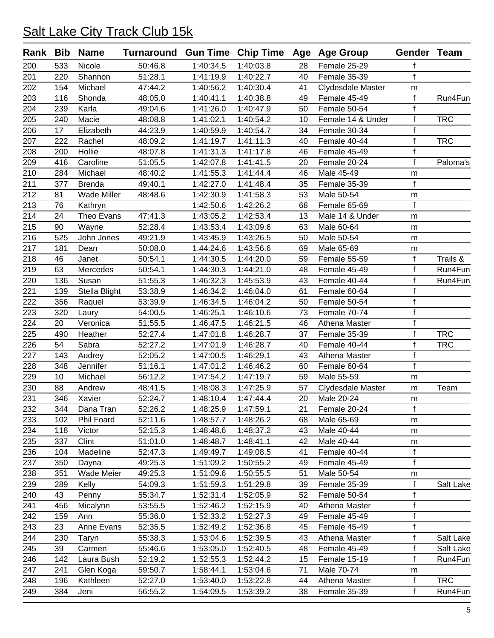| Rank | Bib | <b>Name</b>        | Turnaround Gun Time Chip Time Age Age Group |           |                        |    |                   | Gender Team  |            |
|------|-----|--------------------|---------------------------------------------|-----------|------------------------|----|-------------------|--------------|------------|
| 200  | 533 | Nicole             | 50:46.8                                     | 1:40:34.5 | 1:40:03.8              | 28 | Female 25-29      | f            |            |
| 201  | 220 | Shannon            | 51:28.1                                     | 1:41:19.9 | 1:40:22.7              | 40 | Female 35-39      | $\mathsf{f}$ |            |
| 202  | 154 | Michael            | 47:44.2                                     | 1:40:56.2 | 1:40:30.4              | 41 | Clydesdale Master | m            |            |
| 203  | 116 | Shonda             | 48:05.0                                     | 1:40:41.1 | 1:40:38.8              | 49 | Female 45-49      | f            | Run4Fun    |
| 204  | 239 | Karla              | 49:04.6                                     | 1:41:26.0 | 1:40:47.9              | 50 | Female 50-54      | f            |            |
| 205  | 240 | Macie              | 48:08.8                                     | 1:41:02.1 | 1:40:54.2              | 10 | Female 14 & Under | f            | <b>TRC</b> |
| 206  | 17  | Elizabeth          | 44:23.9                                     | 1:40:59.9 | 1:40:54.7              | 34 | Female 30-34      | f            |            |
| 207  | 222 | Rachel             | 48:09.2                                     | 1:41:19.7 | 1:41:11.3              | 40 | Female 40-44      | $\mathsf{f}$ | <b>TRC</b> |
| 208  | 200 | Hollie             | 48:07.8                                     | 1:41:31.3 | 1:41:17.8              | 46 | Female 45-49      | $\mathsf f$  |            |
| 209  | 416 | Caroline           | 51:05.5                                     | 1:42:07.8 | 1:41:41.5              | 20 | Female 20-24      | $\mathsf{f}$ | Paloma's   |
| 210  | 284 | Michael            | 48:40.2                                     | 1:41:55.3 | 1:41:44.4              | 46 | Male 45-49        | m            |            |
| 211  | 377 | <b>Brenda</b>      | 49:40.1                                     | 1:42:27.0 | 1:41:48.4              | 35 | Female 35-39      | $\mathsf f$  |            |
| 212  | 81  | <b>Wade Miller</b> | 48:48.6                                     | 1:42:30.9 | 1:41:58.3              | 53 | Male 50-54        | m            |            |
| 213  | 76  | Kathryn            |                                             | 1:42:50.6 | 1:42:26.2              | 68 | Female 65-69      | f            |            |
| 214  | 24  | Theo Evans         | 47:41.3                                     | 1:43:05.2 | 1:42:53.4              | 13 | Male 14 & Under   | m            |            |
| 215  | 90  | Wayne              | 52:28.4                                     | 1:43:53.4 | 1:43:09.6              | 63 | Male 60-64        | m            |            |
| 216  | 525 | John Jones         | 49:21.9                                     | 1:43:45.9 | 1:43:26.5              | 50 | Male 50-54        | m            |            |
| 217  | 181 | Dean               | 50:08.0                                     | 1:44:24.6 | 1:43:56.6              | 69 | Male 65-69        | m            |            |
| 218  | 46  | Janet              | 50:54.1                                     | 1:44:30.5 | 1:44:20.0              | 59 | Female 55-59      | f            | Trails &   |
| 219  | 63  | Mercedes           | 50:54.1                                     | 1:44:30.3 | 1:44:21.0              | 48 | Female 45-49      | f            | Run4Fun    |
| 220  | 136 | Susan              | 51:55.3                                     | 1:46:32.3 | 1:45:53.9              | 43 | Female 40-44      | f            | Run4Fun    |
| 221  | 139 | Stella Blight      | 53:38.9                                     | 1:46:34.2 | 1:46:04.0              | 61 | Female 60-64      | f            |            |
| 222  | 356 | Raquel             | 53:39.9                                     | 1:46:34.5 | 1:46:04.2              | 50 | Female 50-54      | f            |            |
| 223  | 320 | Laury              | 54:00.5                                     | 1:46:25.1 | 1:46:10.6              | 73 | Female 70-74      | f            |            |
| 224  | 20  | Veronica           | 51:55.5                                     | 1:46:47.5 | 1:46:21.5              | 46 | Athena Master     | $\mathsf f$  |            |
| 225  | 490 | Heather            | 52:27.4                                     | 1:47:01.8 | 1:46:28.7              | 37 | Female 35-39      | $\mathsf{f}$ | <b>TRC</b> |
| 226  | 54  | Sabra              | 52:27.2                                     | 1:47:01.9 | 1:46:28.7              | 40 | Female 40-44      | $\mathsf{f}$ | <b>TRC</b> |
| 227  | 143 | Audrey             | 52:05.2                                     | 1:47:00.5 | 1:46:29.1              | 43 | Athena Master     | f            |            |
| 228  | 348 | Jennifer           | 51:16.1                                     | 1:47:01.2 | 1:46:46.2              | 60 | Female 60-64      | $\mathsf{f}$ |            |
| 229  | 10  | Michael            | 56:12.2                                     | 1:47:54.2 | 1:47:19.7              | 59 | Male 55-59        | m            |            |
| 230  | 88  | Andrew             | 48:41.5                                     | 1:48:08.3 | 1:47:25.9              | 57 | Clydesdale Master | m            | Team       |
| 231  | 346 | Xavier             | 52:24.7                                     | 1:48:10.4 | 1:47:44.4              | 20 | Male 20-24        | m            |            |
| 232  | 344 | Dana Tran          | 52:26.2                                     | 1:48:25.9 | 1:47:59.1              | 21 | Female 20-24      | f            |            |
| 233  | 102 | Phil Foard         | 52:11.6                                     | 1:48:57.7 | 1:48:26.2              | 68 | Male 65-69        | m            |            |
| 234  | 118 | Victor             | 52:15.3                                     | 1:48:48.6 | 1:48:37.2              | 43 | Male 40-44        |              |            |
| 235  | 337 | Clint              | 51:01.0                                     | 1:48:48.7 | 1:48:41.1              | 42 | Male 40-44        | m<br>m       |            |
| 236  | 104 | Madeline           | 52:47.3                                     | 1:49:49.7 | 1:49:08.5              | 41 | Female 40-44      | f            |            |
| 237  | 350 | Dayna              | 49:25.3                                     | 1:51:09.2 | 1:50:55.2              | 49 | Female 45-49      | f            |            |
|      | 351 | Wade Meier         |                                             | 1:51:09.6 | 1:50:55.5              | 51 | Male 50-54        |              |            |
| 238  | 289 |                    | 49:25.3                                     |           |                        |    | Female 35-39      | m<br>f       |            |
| 239  | 43  | Kelly              | 54:09.3<br>55:34.7                          | 1:51:59.3 | 1:51:29.8<br>1:52:05.9 | 39 |                   | f            | Salt Lake  |
| 240  |     | Penny              |                                             | 1:52:31.4 |                        | 52 | Female 50-54      |              |            |
| 241  | 456 | Micalynn           | 53:55.5                                     | 1:52:46.2 | 1:52:15.9              | 40 | Athena Master     | f            |            |
| 242  | 159 | Ann                | 55:36.0                                     | 1:52:33.2 | 1:52:27.3              | 49 | Female 45-49      | f<br>f       |            |
| 243  | 23  | Anne Evans         | 52:35.5                                     | 1:52:49.2 | 1:52:36.8              | 45 | Female 45-49      |              |            |
| 244  | 230 | Taryn              | 55:38.3                                     | 1:53:04.6 | 1:52:39.5              | 43 | Athena Master     | $\mathsf f$  | Salt Lake  |
| 245  | 39  | Carmen             | 55:46.6                                     | 1:53:05.0 | 1:52:40.5              | 48 | Female 45-49      | f            | Salt Lake  |
| 246  | 142 | Laura Bush         | 52:19.2                                     | 1:52:55.3 | 1:52:44.2              | 15 | Female 15-19      | f            | Run4Fun    |
| 247  | 241 | Glen Koga          | 59:50.7                                     | 1:58:44.1 | 1:53:04.6              | 71 | Male 70-74        | m            |            |
| 248  | 196 | Kathleen           | 52:27.0                                     | 1:53:40.0 | 1:53:22.8              | 44 | Athena Master     | $\mathsf f$  | <b>TRC</b> |
| 249  | 384 | Jeni               | 56:55.2                                     | 1:54:09.5 | 1:53:39.2              | 38 | Female 35-39      | f            | Run4Fun    |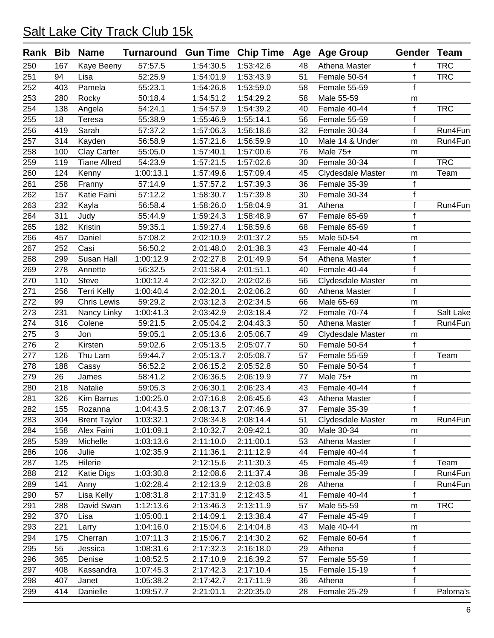| <b>TRC</b><br>250<br>57:57.5<br>1:53:42.6<br>Athena Master<br>167<br>Kaye Beeny<br>1:54:30.5<br>48<br>f<br>$\mathsf{f}$<br>251<br>52:25.9<br>51<br><b>TRC</b><br>94<br>1:54:01.9<br>1:53:43.9<br>Female 50-54<br>Lisa<br>$\mathsf{f}$<br>252<br>403<br>Pamela<br>55:23.1<br>1:54:26.8<br>1:53:59.0<br>58<br>Female 55-59<br>253<br>280<br>Rocky<br>50:18.4<br>1:54:51.2<br>1:54:29.2<br>58<br>Male 55-59<br>m<br>f<br><b>TRC</b><br>254<br>138<br>Angela<br>Female 40-44<br>54:24.1<br>1:54:57.9<br>1:54:39.2<br>40<br>f<br>255<br>18<br>55:38.9<br>1:55:46.9<br>1:55:14.1<br>Teresa<br>56<br>Female 55-59<br>f<br>256<br>Sarah<br>419<br>57:37.2<br>1:57:06.3<br>1:56:18.6<br>32<br>Female 30-34<br>257<br>314<br>56:58.9<br>10<br>Kayden<br>1:57:21.6<br>1:56:59.9<br>Male 14 & Under<br>m<br>258<br>100<br><b>Clay Carter</b><br>55:05.0<br>Male 75+<br>1:57:40.1<br>1:57:00.6<br>76<br>m<br>f<br><b>TRC</b><br>259<br>119<br><b>Tiane Allred</b><br>54:23.9<br>1:57:21.5<br>1:57:02.6<br>Female 30-34<br>30<br>260<br>124<br>Kenny<br>1:00:13.1<br>1:57:49.6<br>1:57:09.4<br>45<br>Clydesdale Master<br>Team<br>m<br>$\mathsf{f}$<br>261<br>258<br>57:14.9<br>1:57:57.2<br>36<br>Female 35-39<br>Franny<br>1:57:39.3<br>f<br>262<br>57:12.2<br>157<br>Katie Faini<br>1:58:30.7<br>1:57:39.8<br>30<br>Female 30-34<br>$\mathsf{f}$<br>263<br>232<br>56:58.4<br>Run4Fun<br>Kayla<br>1:58:26.0<br>1:58:04.9<br>31<br>Athena<br>Female 65-69<br>264<br>311<br>55:44.9<br>1:59:24.3<br>1:58:48.9<br>67<br>$\mathsf{f}$<br>Judy<br>$\mathsf{f}$<br>265<br>182<br>Kristin<br>59:35.1<br>1:59:27.4<br>1:58:59.6<br>Female 65-69<br>68<br>266<br>457<br>57:08.2<br>2:02:10.9<br>Daniel<br>2:01:37.2<br>55<br>Male 50-54<br>m<br>$\mathsf f$<br>267<br>252<br>Casi<br>56:50.2<br>2:01:48.0<br>2:01:38.3<br>Female 40-44<br>43<br>$\mathsf{f}$<br>Susan Hall<br>268<br>299<br>1:00:12.9<br>2:02:27.8<br>2:01:49.9<br>54<br>Athena Master<br>f<br>269<br>278<br>56:32.5<br>2:01:58.4<br>2:01:51.1<br>40<br>Female 40-44<br>Annette<br>270<br>Steve<br>2:02:32.0<br>56<br>110<br>1:00:12.4<br>2:02:02.6<br>Clydesdale Master<br>m<br>f<br>271<br><b>Terri Kelly</b><br>256<br>1:00:40.4<br>2:02:20.1<br>2:02:06.2<br>60<br>Athena Master<br>272<br>99<br><b>Chris Lewis</b><br>59:29.2<br>2:02:34.5<br>66<br>Male 65-69<br>2:03:12.3<br>m<br>$\mathsf{f}$<br>273<br>231<br>Nancy Linky<br>2:03:42.9<br>2:03:18.4<br>Female 70-74<br>1:00:41.3<br>72<br>f<br>274<br>316<br>Colene<br>59:21.5<br>2:05:04.2<br>2:04:43.3<br>50<br>Athena Master<br>275<br>3<br>Jon<br>2:05:13.6<br>59:05.1<br>2:05:06.7<br>49<br>Clydesdale Master<br>m<br>$\overline{2}$<br>f<br>276<br>Kirsten<br>2:05:13.5<br>2:05:07.7<br>50<br>Female 50-54<br>59:02.6<br>f<br>277<br>Team<br>126<br>59:44.7<br>2:05:13.7<br>2:05:08.7<br>57<br>Female 55-59<br>Thu Lam<br>$\mathsf{f}$<br>278<br>188<br>Cassy<br>56:52.2<br>2:06:15.2<br>2:05:52.8<br>50<br>Female 50-54<br>279<br>26<br>58:41.2<br>2:06:36.5<br>77<br>Male 75+<br>James<br>2:06:19.9<br>m<br>$\mathsf{f}$<br>280<br>Natalie<br>Female 40-44<br>218<br>59:05.3<br>2:06:30.1<br>2:06:23.4<br>43<br>f<br>281<br>326<br>43<br>Kim Barrus<br>1:00:25.0<br>2:07:16.8<br>2:06:45.6<br>Athena Master<br>282<br>155<br>Rozanna<br>1:04:43.5<br>2:08:13.7<br>2:07:46.9<br>37<br>Female 35-39<br>f<br>283<br>1:03:32.1<br>2:08:34.8<br>2:08:14.4<br>304<br><b>Brent Taylor</b><br>51<br>Clydesdale Master<br>m<br>284<br>30<br>Male 30-34<br>158<br>Alex Faini<br>1:01:09.1<br>2:10:32.7<br>2:09:42.1<br>m<br>$\mathsf f$<br>Michelle<br>Athena Master<br>285<br>539<br>1:03:13.6<br>2:11:10.0<br>2:11:00.1<br>53<br>286<br>106<br>Julie<br>1:02:35.9<br>2:11:36.1<br>2:11:12.9<br>Female 40-44<br>f<br>44<br>$\mathsf{f}$<br>287<br>2:12:15.6<br>125<br>Hilerie<br>2:11:30.3<br>45<br>Female 45-49<br>Team<br>f<br>1:03:30.8<br>288<br>212<br><b>Katie Digs</b><br>2:12:08.6<br>2:11:37.4<br>38<br>Female 35-39<br>Run4Fun<br>$\mathsf{f}$<br>289<br>141<br>1:02:28.4<br>2:12:13.9<br>2:12:03.8<br>Athena<br>Run4Fun<br>Anny<br>28<br>$\mathsf f$<br>Lisa Kelly<br>Female 40-44<br>290<br>57<br>1:08:31.8<br>2:17:31.9<br>2:12:43.5<br>41<br>2:13:11.9<br>Male 55-59<br><b>TRC</b><br>291<br>288<br>David Swan<br>1:12:13.6<br>2:13:46.3<br>57<br>m<br>$\mathsf{f}$<br>292<br>370<br>1:05:00.1<br>2:14:09.1<br>2:13:38.4<br>Female 45-49<br>Lisa<br>47<br>293<br>221<br>1:04:16.0<br>2:15:04.6<br>2:14:04.8<br>43<br>Male 40-44<br>Larry<br>m<br>$\mathsf f$<br>294<br>Cherran<br>1:07:11.3<br>2:15:06.7<br>2:14:30.2<br>Female 60-64<br>175<br>62<br>f<br>55<br>Jessica<br>Athena<br>295<br>1:08:31.6<br>2:17:32.3<br>2:16:18.0<br>29<br>$\mathsf{f}$<br>2:16:39.2<br>Female 55-59<br>296<br>365<br>Denise<br>1:08:52.5<br>2:17:10.9<br>57<br>$\mathsf f$<br>297<br>Kassandra<br>2:17:42.3<br>15<br>Female 15-19<br>408<br>1:07:45.3<br>2:17:10.4<br>$\mathsf f$<br>298<br>407<br>1:05:38.2<br>2:17:42.7<br>2:17:11.9<br>36<br>Athena<br>Janet<br>f<br>Female 25-29<br>299<br>414<br>Danielle<br>2:21:01.1<br>2:20:35.0<br>1:09:57.7<br>28 |  | Rank Bib Name | Turnaround Gun Time Chip Time Age Age Group |  |  | Gender Team |           |
|--------------------------------------------------------------------------------------------------------------------------------------------------------------------------------------------------------------------------------------------------------------------------------------------------------------------------------------------------------------------------------------------------------------------------------------------------------------------------------------------------------------------------------------------------------------------------------------------------------------------------------------------------------------------------------------------------------------------------------------------------------------------------------------------------------------------------------------------------------------------------------------------------------------------------------------------------------------------------------------------------------------------------------------------------------------------------------------------------------------------------------------------------------------------------------------------------------------------------------------------------------------------------------------------------------------------------------------------------------------------------------------------------------------------------------------------------------------------------------------------------------------------------------------------------------------------------------------------------------------------------------------------------------------------------------------------------------------------------------------------------------------------------------------------------------------------------------------------------------------------------------------------------------------------------------------------------------------------------------------------------------------------------------------------------------------------------------------------------------------------------------------------------------------------------------------------------------------------------------------------------------------------------------------------------------------------------------------------------------------------------------------------------------------------------------------------------------------------------------------------------------------------------------------------------------------------------------------------------------------------------------------------------------------------------------------------------------------------------------------------------------------------------------------------------------------------------------------------------------------------------------------------------------------------------------------------------------------------------------------------------------------------------------------------------------------------------------------------------------------------------------------------------------------------------------------------------------------------------------------------------------------------------------------------------------------------------------------------------------------------------------------------------------------------------------------------------------------------------------------------------------------------------------------------------------------------------------------------------------------------------------------------------------------------------------------------------------------------------------------------------------------------------------------------------------------------------------------------------------------------------------------------------------------------------------------------------------------------------------------------------------------------------------------------------------------------------------------------------------------------------------------------------------------------------------------------------------------------------------------------------------------------------------------------------------------------------------------------------------------------------------------------------------------------------------------------------------------------------------------------------------------------------------------------------------------------------------------------------------------------------------------------------------------------------------------------------------------------------------------------------------------------------------------------------------------------------------------------------------------------------------------------------------------------------------------------------------------------------------------------------------------------------------------------------------------|--|---------------|---------------------------------------------|--|--|-------------|-----------|
|                                                                                                                                                                                                                                                                                                                                                                                                                                                                                                                                                                                                                                                                                                                                                                                                                                                                                                                                                                                                                                                                                                                                                                                                                                                                                                                                                                                                                                                                                                                                                                                                                                                                                                                                                                                                                                                                                                                                                                                                                                                                                                                                                                                                                                                                                                                                                                                                                                                                                                                                                                                                                                                                                                                                                                                                                                                                                                                                                                                                                                                                                                                                                                                                                                                                                                                                                                                                                                                                                                                                                                                                                                                                                                                                                                                                                                                                                                                                                                                                                                                                                                                                                                                                                                                                                                                                                                                                                                                                                                                                                                                                                                                                                                                                                                                                                                                                                                                                                                                                                                                              |  |               |                                             |  |  |             |           |
|                                                                                                                                                                                                                                                                                                                                                                                                                                                                                                                                                                                                                                                                                                                                                                                                                                                                                                                                                                                                                                                                                                                                                                                                                                                                                                                                                                                                                                                                                                                                                                                                                                                                                                                                                                                                                                                                                                                                                                                                                                                                                                                                                                                                                                                                                                                                                                                                                                                                                                                                                                                                                                                                                                                                                                                                                                                                                                                                                                                                                                                                                                                                                                                                                                                                                                                                                                                                                                                                                                                                                                                                                                                                                                                                                                                                                                                                                                                                                                                                                                                                                                                                                                                                                                                                                                                                                                                                                                                                                                                                                                                                                                                                                                                                                                                                                                                                                                                                                                                                                                                              |  |               |                                             |  |  |             |           |
|                                                                                                                                                                                                                                                                                                                                                                                                                                                                                                                                                                                                                                                                                                                                                                                                                                                                                                                                                                                                                                                                                                                                                                                                                                                                                                                                                                                                                                                                                                                                                                                                                                                                                                                                                                                                                                                                                                                                                                                                                                                                                                                                                                                                                                                                                                                                                                                                                                                                                                                                                                                                                                                                                                                                                                                                                                                                                                                                                                                                                                                                                                                                                                                                                                                                                                                                                                                                                                                                                                                                                                                                                                                                                                                                                                                                                                                                                                                                                                                                                                                                                                                                                                                                                                                                                                                                                                                                                                                                                                                                                                                                                                                                                                                                                                                                                                                                                                                                                                                                                                                              |  |               |                                             |  |  |             |           |
|                                                                                                                                                                                                                                                                                                                                                                                                                                                                                                                                                                                                                                                                                                                                                                                                                                                                                                                                                                                                                                                                                                                                                                                                                                                                                                                                                                                                                                                                                                                                                                                                                                                                                                                                                                                                                                                                                                                                                                                                                                                                                                                                                                                                                                                                                                                                                                                                                                                                                                                                                                                                                                                                                                                                                                                                                                                                                                                                                                                                                                                                                                                                                                                                                                                                                                                                                                                                                                                                                                                                                                                                                                                                                                                                                                                                                                                                                                                                                                                                                                                                                                                                                                                                                                                                                                                                                                                                                                                                                                                                                                                                                                                                                                                                                                                                                                                                                                                                                                                                                                                              |  |               |                                             |  |  |             |           |
|                                                                                                                                                                                                                                                                                                                                                                                                                                                                                                                                                                                                                                                                                                                                                                                                                                                                                                                                                                                                                                                                                                                                                                                                                                                                                                                                                                                                                                                                                                                                                                                                                                                                                                                                                                                                                                                                                                                                                                                                                                                                                                                                                                                                                                                                                                                                                                                                                                                                                                                                                                                                                                                                                                                                                                                                                                                                                                                                                                                                                                                                                                                                                                                                                                                                                                                                                                                                                                                                                                                                                                                                                                                                                                                                                                                                                                                                                                                                                                                                                                                                                                                                                                                                                                                                                                                                                                                                                                                                                                                                                                                                                                                                                                                                                                                                                                                                                                                                                                                                                                                              |  |               |                                             |  |  |             |           |
|                                                                                                                                                                                                                                                                                                                                                                                                                                                                                                                                                                                                                                                                                                                                                                                                                                                                                                                                                                                                                                                                                                                                                                                                                                                                                                                                                                                                                                                                                                                                                                                                                                                                                                                                                                                                                                                                                                                                                                                                                                                                                                                                                                                                                                                                                                                                                                                                                                                                                                                                                                                                                                                                                                                                                                                                                                                                                                                                                                                                                                                                                                                                                                                                                                                                                                                                                                                                                                                                                                                                                                                                                                                                                                                                                                                                                                                                                                                                                                                                                                                                                                                                                                                                                                                                                                                                                                                                                                                                                                                                                                                                                                                                                                                                                                                                                                                                                                                                                                                                                                                              |  |               |                                             |  |  |             |           |
|                                                                                                                                                                                                                                                                                                                                                                                                                                                                                                                                                                                                                                                                                                                                                                                                                                                                                                                                                                                                                                                                                                                                                                                                                                                                                                                                                                                                                                                                                                                                                                                                                                                                                                                                                                                                                                                                                                                                                                                                                                                                                                                                                                                                                                                                                                                                                                                                                                                                                                                                                                                                                                                                                                                                                                                                                                                                                                                                                                                                                                                                                                                                                                                                                                                                                                                                                                                                                                                                                                                                                                                                                                                                                                                                                                                                                                                                                                                                                                                                                                                                                                                                                                                                                                                                                                                                                                                                                                                                                                                                                                                                                                                                                                                                                                                                                                                                                                                                                                                                                                                              |  |               |                                             |  |  |             | Run4Fun   |
|                                                                                                                                                                                                                                                                                                                                                                                                                                                                                                                                                                                                                                                                                                                                                                                                                                                                                                                                                                                                                                                                                                                                                                                                                                                                                                                                                                                                                                                                                                                                                                                                                                                                                                                                                                                                                                                                                                                                                                                                                                                                                                                                                                                                                                                                                                                                                                                                                                                                                                                                                                                                                                                                                                                                                                                                                                                                                                                                                                                                                                                                                                                                                                                                                                                                                                                                                                                                                                                                                                                                                                                                                                                                                                                                                                                                                                                                                                                                                                                                                                                                                                                                                                                                                                                                                                                                                                                                                                                                                                                                                                                                                                                                                                                                                                                                                                                                                                                                                                                                                                                              |  |               |                                             |  |  |             | Run4Fun   |
|                                                                                                                                                                                                                                                                                                                                                                                                                                                                                                                                                                                                                                                                                                                                                                                                                                                                                                                                                                                                                                                                                                                                                                                                                                                                                                                                                                                                                                                                                                                                                                                                                                                                                                                                                                                                                                                                                                                                                                                                                                                                                                                                                                                                                                                                                                                                                                                                                                                                                                                                                                                                                                                                                                                                                                                                                                                                                                                                                                                                                                                                                                                                                                                                                                                                                                                                                                                                                                                                                                                                                                                                                                                                                                                                                                                                                                                                                                                                                                                                                                                                                                                                                                                                                                                                                                                                                                                                                                                                                                                                                                                                                                                                                                                                                                                                                                                                                                                                                                                                                                                              |  |               |                                             |  |  |             |           |
|                                                                                                                                                                                                                                                                                                                                                                                                                                                                                                                                                                                                                                                                                                                                                                                                                                                                                                                                                                                                                                                                                                                                                                                                                                                                                                                                                                                                                                                                                                                                                                                                                                                                                                                                                                                                                                                                                                                                                                                                                                                                                                                                                                                                                                                                                                                                                                                                                                                                                                                                                                                                                                                                                                                                                                                                                                                                                                                                                                                                                                                                                                                                                                                                                                                                                                                                                                                                                                                                                                                                                                                                                                                                                                                                                                                                                                                                                                                                                                                                                                                                                                                                                                                                                                                                                                                                                                                                                                                                                                                                                                                                                                                                                                                                                                                                                                                                                                                                                                                                                                                              |  |               |                                             |  |  |             |           |
|                                                                                                                                                                                                                                                                                                                                                                                                                                                                                                                                                                                                                                                                                                                                                                                                                                                                                                                                                                                                                                                                                                                                                                                                                                                                                                                                                                                                                                                                                                                                                                                                                                                                                                                                                                                                                                                                                                                                                                                                                                                                                                                                                                                                                                                                                                                                                                                                                                                                                                                                                                                                                                                                                                                                                                                                                                                                                                                                                                                                                                                                                                                                                                                                                                                                                                                                                                                                                                                                                                                                                                                                                                                                                                                                                                                                                                                                                                                                                                                                                                                                                                                                                                                                                                                                                                                                                                                                                                                                                                                                                                                                                                                                                                                                                                                                                                                                                                                                                                                                                                                              |  |               |                                             |  |  |             |           |
|                                                                                                                                                                                                                                                                                                                                                                                                                                                                                                                                                                                                                                                                                                                                                                                                                                                                                                                                                                                                                                                                                                                                                                                                                                                                                                                                                                                                                                                                                                                                                                                                                                                                                                                                                                                                                                                                                                                                                                                                                                                                                                                                                                                                                                                                                                                                                                                                                                                                                                                                                                                                                                                                                                                                                                                                                                                                                                                                                                                                                                                                                                                                                                                                                                                                                                                                                                                                                                                                                                                                                                                                                                                                                                                                                                                                                                                                                                                                                                                                                                                                                                                                                                                                                                                                                                                                                                                                                                                                                                                                                                                                                                                                                                                                                                                                                                                                                                                                                                                                                                                              |  |               |                                             |  |  |             |           |
|                                                                                                                                                                                                                                                                                                                                                                                                                                                                                                                                                                                                                                                                                                                                                                                                                                                                                                                                                                                                                                                                                                                                                                                                                                                                                                                                                                                                                                                                                                                                                                                                                                                                                                                                                                                                                                                                                                                                                                                                                                                                                                                                                                                                                                                                                                                                                                                                                                                                                                                                                                                                                                                                                                                                                                                                                                                                                                                                                                                                                                                                                                                                                                                                                                                                                                                                                                                                                                                                                                                                                                                                                                                                                                                                                                                                                                                                                                                                                                                                                                                                                                                                                                                                                                                                                                                                                                                                                                                                                                                                                                                                                                                                                                                                                                                                                                                                                                                                                                                                                                                              |  |               |                                             |  |  |             |           |
|                                                                                                                                                                                                                                                                                                                                                                                                                                                                                                                                                                                                                                                                                                                                                                                                                                                                                                                                                                                                                                                                                                                                                                                                                                                                                                                                                                                                                                                                                                                                                                                                                                                                                                                                                                                                                                                                                                                                                                                                                                                                                                                                                                                                                                                                                                                                                                                                                                                                                                                                                                                                                                                                                                                                                                                                                                                                                                                                                                                                                                                                                                                                                                                                                                                                                                                                                                                                                                                                                                                                                                                                                                                                                                                                                                                                                                                                                                                                                                                                                                                                                                                                                                                                                                                                                                                                                                                                                                                                                                                                                                                                                                                                                                                                                                                                                                                                                                                                                                                                                                                              |  |               |                                             |  |  |             |           |
|                                                                                                                                                                                                                                                                                                                                                                                                                                                                                                                                                                                                                                                                                                                                                                                                                                                                                                                                                                                                                                                                                                                                                                                                                                                                                                                                                                                                                                                                                                                                                                                                                                                                                                                                                                                                                                                                                                                                                                                                                                                                                                                                                                                                                                                                                                                                                                                                                                                                                                                                                                                                                                                                                                                                                                                                                                                                                                                                                                                                                                                                                                                                                                                                                                                                                                                                                                                                                                                                                                                                                                                                                                                                                                                                                                                                                                                                                                                                                                                                                                                                                                                                                                                                                                                                                                                                                                                                                                                                                                                                                                                                                                                                                                                                                                                                                                                                                                                                                                                                                                                              |  |               |                                             |  |  |             |           |
|                                                                                                                                                                                                                                                                                                                                                                                                                                                                                                                                                                                                                                                                                                                                                                                                                                                                                                                                                                                                                                                                                                                                                                                                                                                                                                                                                                                                                                                                                                                                                                                                                                                                                                                                                                                                                                                                                                                                                                                                                                                                                                                                                                                                                                                                                                                                                                                                                                                                                                                                                                                                                                                                                                                                                                                                                                                                                                                                                                                                                                                                                                                                                                                                                                                                                                                                                                                                                                                                                                                                                                                                                                                                                                                                                                                                                                                                                                                                                                                                                                                                                                                                                                                                                                                                                                                                                                                                                                                                                                                                                                                                                                                                                                                                                                                                                                                                                                                                                                                                                                                              |  |               |                                             |  |  |             |           |
|                                                                                                                                                                                                                                                                                                                                                                                                                                                                                                                                                                                                                                                                                                                                                                                                                                                                                                                                                                                                                                                                                                                                                                                                                                                                                                                                                                                                                                                                                                                                                                                                                                                                                                                                                                                                                                                                                                                                                                                                                                                                                                                                                                                                                                                                                                                                                                                                                                                                                                                                                                                                                                                                                                                                                                                                                                                                                                                                                                                                                                                                                                                                                                                                                                                                                                                                                                                                                                                                                                                                                                                                                                                                                                                                                                                                                                                                                                                                                                                                                                                                                                                                                                                                                                                                                                                                                                                                                                                                                                                                                                                                                                                                                                                                                                                                                                                                                                                                                                                                                                                              |  |               |                                             |  |  |             |           |
|                                                                                                                                                                                                                                                                                                                                                                                                                                                                                                                                                                                                                                                                                                                                                                                                                                                                                                                                                                                                                                                                                                                                                                                                                                                                                                                                                                                                                                                                                                                                                                                                                                                                                                                                                                                                                                                                                                                                                                                                                                                                                                                                                                                                                                                                                                                                                                                                                                                                                                                                                                                                                                                                                                                                                                                                                                                                                                                                                                                                                                                                                                                                                                                                                                                                                                                                                                                                                                                                                                                                                                                                                                                                                                                                                                                                                                                                                                                                                                                                                                                                                                                                                                                                                                                                                                                                                                                                                                                                                                                                                                                                                                                                                                                                                                                                                                                                                                                                                                                                                                                              |  |               |                                             |  |  |             |           |
|                                                                                                                                                                                                                                                                                                                                                                                                                                                                                                                                                                                                                                                                                                                                                                                                                                                                                                                                                                                                                                                                                                                                                                                                                                                                                                                                                                                                                                                                                                                                                                                                                                                                                                                                                                                                                                                                                                                                                                                                                                                                                                                                                                                                                                                                                                                                                                                                                                                                                                                                                                                                                                                                                                                                                                                                                                                                                                                                                                                                                                                                                                                                                                                                                                                                                                                                                                                                                                                                                                                                                                                                                                                                                                                                                                                                                                                                                                                                                                                                                                                                                                                                                                                                                                                                                                                                                                                                                                                                                                                                                                                                                                                                                                                                                                                                                                                                                                                                                                                                                                                              |  |               |                                             |  |  |             |           |
|                                                                                                                                                                                                                                                                                                                                                                                                                                                                                                                                                                                                                                                                                                                                                                                                                                                                                                                                                                                                                                                                                                                                                                                                                                                                                                                                                                                                                                                                                                                                                                                                                                                                                                                                                                                                                                                                                                                                                                                                                                                                                                                                                                                                                                                                                                                                                                                                                                                                                                                                                                                                                                                                                                                                                                                                                                                                                                                                                                                                                                                                                                                                                                                                                                                                                                                                                                                                                                                                                                                                                                                                                                                                                                                                                                                                                                                                                                                                                                                                                                                                                                                                                                                                                                                                                                                                                                                                                                                                                                                                                                                                                                                                                                                                                                                                                                                                                                                                                                                                                                                              |  |               |                                             |  |  |             |           |
|                                                                                                                                                                                                                                                                                                                                                                                                                                                                                                                                                                                                                                                                                                                                                                                                                                                                                                                                                                                                                                                                                                                                                                                                                                                                                                                                                                                                                                                                                                                                                                                                                                                                                                                                                                                                                                                                                                                                                                                                                                                                                                                                                                                                                                                                                                                                                                                                                                                                                                                                                                                                                                                                                                                                                                                                                                                                                                                                                                                                                                                                                                                                                                                                                                                                                                                                                                                                                                                                                                                                                                                                                                                                                                                                                                                                                                                                                                                                                                                                                                                                                                                                                                                                                                                                                                                                                                                                                                                                                                                                                                                                                                                                                                                                                                                                                                                                                                                                                                                                                                                              |  |               |                                             |  |  |             |           |
|                                                                                                                                                                                                                                                                                                                                                                                                                                                                                                                                                                                                                                                                                                                                                                                                                                                                                                                                                                                                                                                                                                                                                                                                                                                                                                                                                                                                                                                                                                                                                                                                                                                                                                                                                                                                                                                                                                                                                                                                                                                                                                                                                                                                                                                                                                                                                                                                                                                                                                                                                                                                                                                                                                                                                                                                                                                                                                                                                                                                                                                                                                                                                                                                                                                                                                                                                                                                                                                                                                                                                                                                                                                                                                                                                                                                                                                                                                                                                                                                                                                                                                                                                                                                                                                                                                                                                                                                                                                                                                                                                                                                                                                                                                                                                                                                                                                                                                                                                                                                                                                              |  |               |                                             |  |  |             |           |
|                                                                                                                                                                                                                                                                                                                                                                                                                                                                                                                                                                                                                                                                                                                                                                                                                                                                                                                                                                                                                                                                                                                                                                                                                                                                                                                                                                                                                                                                                                                                                                                                                                                                                                                                                                                                                                                                                                                                                                                                                                                                                                                                                                                                                                                                                                                                                                                                                                                                                                                                                                                                                                                                                                                                                                                                                                                                                                                                                                                                                                                                                                                                                                                                                                                                                                                                                                                                                                                                                                                                                                                                                                                                                                                                                                                                                                                                                                                                                                                                                                                                                                                                                                                                                                                                                                                                                                                                                                                                                                                                                                                                                                                                                                                                                                                                                                                                                                                                                                                                                                                              |  |               |                                             |  |  |             |           |
|                                                                                                                                                                                                                                                                                                                                                                                                                                                                                                                                                                                                                                                                                                                                                                                                                                                                                                                                                                                                                                                                                                                                                                                                                                                                                                                                                                                                                                                                                                                                                                                                                                                                                                                                                                                                                                                                                                                                                                                                                                                                                                                                                                                                                                                                                                                                                                                                                                                                                                                                                                                                                                                                                                                                                                                                                                                                                                                                                                                                                                                                                                                                                                                                                                                                                                                                                                                                                                                                                                                                                                                                                                                                                                                                                                                                                                                                                                                                                                                                                                                                                                                                                                                                                                                                                                                                                                                                                                                                                                                                                                                                                                                                                                                                                                                                                                                                                                                                                                                                                                                              |  |               |                                             |  |  |             | Salt Lake |
|                                                                                                                                                                                                                                                                                                                                                                                                                                                                                                                                                                                                                                                                                                                                                                                                                                                                                                                                                                                                                                                                                                                                                                                                                                                                                                                                                                                                                                                                                                                                                                                                                                                                                                                                                                                                                                                                                                                                                                                                                                                                                                                                                                                                                                                                                                                                                                                                                                                                                                                                                                                                                                                                                                                                                                                                                                                                                                                                                                                                                                                                                                                                                                                                                                                                                                                                                                                                                                                                                                                                                                                                                                                                                                                                                                                                                                                                                                                                                                                                                                                                                                                                                                                                                                                                                                                                                                                                                                                                                                                                                                                                                                                                                                                                                                                                                                                                                                                                                                                                                                                              |  |               |                                             |  |  |             | Run4Fun   |
|                                                                                                                                                                                                                                                                                                                                                                                                                                                                                                                                                                                                                                                                                                                                                                                                                                                                                                                                                                                                                                                                                                                                                                                                                                                                                                                                                                                                                                                                                                                                                                                                                                                                                                                                                                                                                                                                                                                                                                                                                                                                                                                                                                                                                                                                                                                                                                                                                                                                                                                                                                                                                                                                                                                                                                                                                                                                                                                                                                                                                                                                                                                                                                                                                                                                                                                                                                                                                                                                                                                                                                                                                                                                                                                                                                                                                                                                                                                                                                                                                                                                                                                                                                                                                                                                                                                                                                                                                                                                                                                                                                                                                                                                                                                                                                                                                                                                                                                                                                                                                                                              |  |               |                                             |  |  |             |           |
|                                                                                                                                                                                                                                                                                                                                                                                                                                                                                                                                                                                                                                                                                                                                                                                                                                                                                                                                                                                                                                                                                                                                                                                                                                                                                                                                                                                                                                                                                                                                                                                                                                                                                                                                                                                                                                                                                                                                                                                                                                                                                                                                                                                                                                                                                                                                                                                                                                                                                                                                                                                                                                                                                                                                                                                                                                                                                                                                                                                                                                                                                                                                                                                                                                                                                                                                                                                                                                                                                                                                                                                                                                                                                                                                                                                                                                                                                                                                                                                                                                                                                                                                                                                                                                                                                                                                                                                                                                                                                                                                                                                                                                                                                                                                                                                                                                                                                                                                                                                                                                                              |  |               |                                             |  |  |             |           |
|                                                                                                                                                                                                                                                                                                                                                                                                                                                                                                                                                                                                                                                                                                                                                                                                                                                                                                                                                                                                                                                                                                                                                                                                                                                                                                                                                                                                                                                                                                                                                                                                                                                                                                                                                                                                                                                                                                                                                                                                                                                                                                                                                                                                                                                                                                                                                                                                                                                                                                                                                                                                                                                                                                                                                                                                                                                                                                                                                                                                                                                                                                                                                                                                                                                                                                                                                                                                                                                                                                                                                                                                                                                                                                                                                                                                                                                                                                                                                                                                                                                                                                                                                                                                                                                                                                                                                                                                                                                                                                                                                                                                                                                                                                                                                                                                                                                                                                                                                                                                                                                              |  |               |                                             |  |  |             |           |
|                                                                                                                                                                                                                                                                                                                                                                                                                                                                                                                                                                                                                                                                                                                                                                                                                                                                                                                                                                                                                                                                                                                                                                                                                                                                                                                                                                                                                                                                                                                                                                                                                                                                                                                                                                                                                                                                                                                                                                                                                                                                                                                                                                                                                                                                                                                                                                                                                                                                                                                                                                                                                                                                                                                                                                                                                                                                                                                                                                                                                                                                                                                                                                                                                                                                                                                                                                                                                                                                                                                                                                                                                                                                                                                                                                                                                                                                                                                                                                                                                                                                                                                                                                                                                                                                                                                                                                                                                                                                                                                                                                                                                                                                                                                                                                                                                                                                                                                                                                                                                                                              |  |               |                                             |  |  |             |           |
|                                                                                                                                                                                                                                                                                                                                                                                                                                                                                                                                                                                                                                                                                                                                                                                                                                                                                                                                                                                                                                                                                                                                                                                                                                                                                                                                                                                                                                                                                                                                                                                                                                                                                                                                                                                                                                                                                                                                                                                                                                                                                                                                                                                                                                                                                                                                                                                                                                                                                                                                                                                                                                                                                                                                                                                                                                                                                                                                                                                                                                                                                                                                                                                                                                                                                                                                                                                                                                                                                                                                                                                                                                                                                                                                                                                                                                                                                                                                                                                                                                                                                                                                                                                                                                                                                                                                                                                                                                                                                                                                                                                                                                                                                                                                                                                                                                                                                                                                                                                                                                                              |  |               |                                             |  |  |             |           |
|                                                                                                                                                                                                                                                                                                                                                                                                                                                                                                                                                                                                                                                                                                                                                                                                                                                                                                                                                                                                                                                                                                                                                                                                                                                                                                                                                                                                                                                                                                                                                                                                                                                                                                                                                                                                                                                                                                                                                                                                                                                                                                                                                                                                                                                                                                                                                                                                                                                                                                                                                                                                                                                                                                                                                                                                                                                                                                                                                                                                                                                                                                                                                                                                                                                                                                                                                                                                                                                                                                                                                                                                                                                                                                                                                                                                                                                                                                                                                                                                                                                                                                                                                                                                                                                                                                                                                                                                                                                                                                                                                                                                                                                                                                                                                                                                                                                                                                                                                                                                                                                              |  |               |                                             |  |  |             |           |
|                                                                                                                                                                                                                                                                                                                                                                                                                                                                                                                                                                                                                                                                                                                                                                                                                                                                                                                                                                                                                                                                                                                                                                                                                                                                                                                                                                                                                                                                                                                                                                                                                                                                                                                                                                                                                                                                                                                                                                                                                                                                                                                                                                                                                                                                                                                                                                                                                                                                                                                                                                                                                                                                                                                                                                                                                                                                                                                                                                                                                                                                                                                                                                                                                                                                                                                                                                                                                                                                                                                                                                                                                                                                                                                                                                                                                                                                                                                                                                                                                                                                                                                                                                                                                                                                                                                                                                                                                                                                                                                                                                                                                                                                                                                                                                                                                                                                                                                                                                                                                                                              |  |               |                                             |  |  |             |           |
|                                                                                                                                                                                                                                                                                                                                                                                                                                                                                                                                                                                                                                                                                                                                                                                                                                                                                                                                                                                                                                                                                                                                                                                                                                                                                                                                                                                                                                                                                                                                                                                                                                                                                                                                                                                                                                                                                                                                                                                                                                                                                                                                                                                                                                                                                                                                                                                                                                                                                                                                                                                                                                                                                                                                                                                                                                                                                                                                                                                                                                                                                                                                                                                                                                                                                                                                                                                                                                                                                                                                                                                                                                                                                                                                                                                                                                                                                                                                                                                                                                                                                                                                                                                                                                                                                                                                                                                                                                                                                                                                                                                                                                                                                                                                                                                                                                                                                                                                                                                                                                                              |  |               |                                             |  |  |             |           |
|                                                                                                                                                                                                                                                                                                                                                                                                                                                                                                                                                                                                                                                                                                                                                                                                                                                                                                                                                                                                                                                                                                                                                                                                                                                                                                                                                                                                                                                                                                                                                                                                                                                                                                                                                                                                                                                                                                                                                                                                                                                                                                                                                                                                                                                                                                                                                                                                                                                                                                                                                                                                                                                                                                                                                                                                                                                                                                                                                                                                                                                                                                                                                                                                                                                                                                                                                                                                                                                                                                                                                                                                                                                                                                                                                                                                                                                                                                                                                                                                                                                                                                                                                                                                                                                                                                                                                                                                                                                                                                                                                                                                                                                                                                                                                                                                                                                                                                                                                                                                                                                              |  |               |                                             |  |  |             | Run4Fun   |
|                                                                                                                                                                                                                                                                                                                                                                                                                                                                                                                                                                                                                                                                                                                                                                                                                                                                                                                                                                                                                                                                                                                                                                                                                                                                                                                                                                                                                                                                                                                                                                                                                                                                                                                                                                                                                                                                                                                                                                                                                                                                                                                                                                                                                                                                                                                                                                                                                                                                                                                                                                                                                                                                                                                                                                                                                                                                                                                                                                                                                                                                                                                                                                                                                                                                                                                                                                                                                                                                                                                                                                                                                                                                                                                                                                                                                                                                                                                                                                                                                                                                                                                                                                                                                                                                                                                                                                                                                                                                                                                                                                                                                                                                                                                                                                                                                                                                                                                                                                                                                                                              |  |               |                                             |  |  |             |           |
|                                                                                                                                                                                                                                                                                                                                                                                                                                                                                                                                                                                                                                                                                                                                                                                                                                                                                                                                                                                                                                                                                                                                                                                                                                                                                                                                                                                                                                                                                                                                                                                                                                                                                                                                                                                                                                                                                                                                                                                                                                                                                                                                                                                                                                                                                                                                                                                                                                                                                                                                                                                                                                                                                                                                                                                                                                                                                                                                                                                                                                                                                                                                                                                                                                                                                                                                                                                                                                                                                                                                                                                                                                                                                                                                                                                                                                                                                                                                                                                                                                                                                                                                                                                                                                                                                                                                                                                                                                                                                                                                                                                                                                                                                                                                                                                                                                                                                                                                                                                                                                                              |  |               |                                             |  |  |             |           |
|                                                                                                                                                                                                                                                                                                                                                                                                                                                                                                                                                                                                                                                                                                                                                                                                                                                                                                                                                                                                                                                                                                                                                                                                                                                                                                                                                                                                                                                                                                                                                                                                                                                                                                                                                                                                                                                                                                                                                                                                                                                                                                                                                                                                                                                                                                                                                                                                                                                                                                                                                                                                                                                                                                                                                                                                                                                                                                                                                                                                                                                                                                                                                                                                                                                                                                                                                                                                                                                                                                                                                                                                                                                                                                                                                                                                                                                                                                                                                                                                                                                                                                                                                                                                                                                                                                                                                                                                                                                                                                                                                                                                                                                                                                                                                                                                                                                                                                                                                                                                                                                              |  |               |                                             |  |  |             |           |
|                                                                                                                                                                                                                                                                                                                                                                                                                                                                                                                                                                                                                                                                                                                                                                                                                                                                                                                                                                                                                                                                                                                                                                                                                                                                                                                                                                                                                                                                                                                                                                                                                                                                                                                                                                                                                                                                                                                                                                                                                                                                                                                                                                                                                                                                                                                                                                                                                                                                                                                                                                                                                                                                                                                                                                                                                                                                                                                                                                                                                                                                                                                                                                                                                                                                                                                                                                                                                                                                                                                                                                                                                                                                                                                                                                                                                                                                                                                                                                                                                                                                                                                                                                                                                                                                                                                                                                                                                                                                                                                                                                                                                                                                                                                                                                                                                                                                                                                                                                                                                                                              |  |               |                                             |  |  |             |           |
|                                                                                                                                                                                                                                                                                                                                                                                                                                                                                                                                                                                                                                                                                                                                                                                                                                                                                                                                                                                                                                                                                                                                                                                                                                                                                                                                                                                                                                                                                                                                                                                                                                                                                                                                                                                                                                                                                                                                                                                                                                                                                                                                                                                                                                                                                                                                                                                                                                                                                                                                                                                                                                                                                                                                                                                                                                                                                                                                                                                                                                                                                                                                                                                                                                                                                                                                                                                                                                                                                                                                                                                                                                                                                                                                                                                                                                                                                                                                                                                                                                                                                                                                                                                                                                                                                                                                                                                                                                                                                                                                                                                                                                                                                                                                                                                                                                                                                                                                                                                                                                                              |  |               |                                             |  |  |             |           |
|                                                                                                                                                                                                                                                                                                                                                                                                                                                                                                                                                                                                                                                                                                                                                                                                                                                                                                                                                                                                                                                                                                                                                                                                                                                                                                                                                                                                                                                                                                                                                                                                                                                                                                                                                                                                                                                                                                                                                                                                                                                                                                                                                                                                                                                                                                                                                                                                                                                                                                                                                                                                                                                                                                                                                                                                                                                                                                                                                                                                                                                                                                                                                                                                                                                                                                                                                                                                                                                                                                                                                                                                                                                                                                                                                                                                                                                                                                                                                                                                                                                                                                                                                                                                                                                                                                                                                                                                                                                                                                                                                                                                                                                                                                                                                                                                                                                                                                                                                                                                                                                              |  |               |                                             |  |  |             |           |
|                                                                                                                                                                                                                                                                                                                                                                                                                                                                                                                                                                                                                                                                                                                                                                                                                                                                                                                                                                                                                                                                                                                                                                                                                                                                                                                                                                                                                                                                                                                                                                                                                                                                                                                                                                                                                                                                                                                                                                                                                                                                                                                                                                                                                                                                                                                                                                                                                                                                                                                                                                                                                                                                                                                                                                                                                                                                                                                                                                                                                                                                                                                                                                                                                                                                                                                                                                                                                                                                                                                                                                                                                                                                                                                                                                                                                                                                                                                                                                                                                                                                                                                                                                                                                                                                                                                                                                                                                                                                                                                                                                                                                                                                                                                                                                                                                                                                                                                                                                                                                                                              |  |               |                                             |  |  |             |           |
|                                                                                                                                                                                                                                                                                                                                                                                                                                                                                                                                                                                                                                                                                                                                                                                                                                                                                                                                                                                                                                                                                                                                                                                                                                                                                                                                                                                                                                                                                                                                                                                                                                                                                                                                                                                                                                                                                                                                                                                                                                                                                                                                                                                                                                                                                                                                                                                                                                                                                                                                                                                                                                                                                                                                                                                                                                                                                                                                                                                                                                                                                                                                                                                                                                                                                                                                                                                                                                                                                                                                                                                                                                                                                                                                                                                                                                                                                                                                                                                                                                                                                                                                                                                                                                                                                                                                                                                                                                                                                                                                                                                                                                                                                                                                                                                                                                                                                                                                                                                                                                                              |  |               |                                             |  |  |             |           |
|                                                                                                                                                                                                                                                                                                                                                                                                                                                                                                                                                                                                                                                                                                                                                                                                                                                                                                                                                                                                                                                                                                                                                                                                                                                                                                                                                                                                                                                                                                                                                                                                                                                                                                                                                                                                                                                                                                                                                                                                                                                                                                                                                                                                                                                                                                                                                                                                                                                                                                                                                                                                                                                                                                                                                                                                                                                                                                                                                                                                                                                                                                                                                                                                                                                                                                                                                                                                                                                                                                                                                                                                                                                                                                                                                                                                                                                                                                                                                                                                                                                                                                                                                                                                                                                                                                                                                                                                                                                                                                                                                                                                                                                                                                                                                                                                                                                                                                                                                                                                                                                              |  |               |                                             |  |  |             |           |
|                                                                                                                                                                                                                                                                                                                                                                                                                                                                                                                                                                                                                                                                                                                                                                                                                                                                                                                                                                                                                                                                                                                                                                                                                                                                                                                                                                                                                                                                                                                                                                                                                                                                                                                                                                                                                                                                                                                                                                                                                                                                                                                                                                                                                                                                                                                                                                                                                                                                                                                                                                                                                                                                                                                                                                                                                                                                                                                                                                                                                                                                                                                                                                                                                                                                                                                                                                                                                                                                                                                                                                                                                                                                                                                                                                                                                                                                                                                                                                                                                                                                                                                                                                                                                                                                                                                                                                                                                                                                                                                                                                                                                                                                                                                                                                                                                                                                                                                                                                                                                                                              |  |               |                                             |  |  |             |           |
|                                                                                                                                                                                                                                                                                                                                                                                                                                                                                                                                                                                                                                                                                                                                                                                                                                                                                                                                                                                                                                                                                                                                                                                                                                                                                                                                                                                                                                                                                                                                                                                                                                                                                                                                                                                                                                                                                                                                                                                                                                                                                                                                                                                                                                                                                                                                                                                                                                                                                                                                                                                                                                                                                                                                                                                                                                                                                                                                                                                                                                                                                                                                                                                                                                                                                                                                                                                                                                                                                                                                                                                                                                                                                                                                                                                                                                                                                                                                                                                                                                                                                                                                                                                                                                                                                                                                                                                                                                                                                                                                                                                                                                                                                                                                                                                                                                                                                                                                                                                                                                                              |  |               |                                             |  |  |             |           |
|                                                                                                                                                                                                                                                                                                                                                                                                                                                                                                                                                                                                                                                                                                                                                                                                                                                                                                                                                                                                                                                                                                                                                                                                                                                                                                                                                                                                                                                                                                                                                                                                                                                                                                                                                                                                                                                                                                                                                                                                                                                                                                                                                                                                                                                                                                                                                                                                                                                                                                                                                                                                                                                                                                                                                                                                                                                                                                                                                                                                                                                                                                                                                                                                                                                                                                                                                                                                                                                                                                                                                                                                                                                                                                                                                                                                                                                                                                                                                                                                                                                                                                                                                                                                                                                                                                                                                                                                                                                                                                                                                                                                                                                                                                                                                                                                                                                                                                                                                                                                                                                              |  |               |                                             |  |  |             |           |
|                                                                                                                                                                                                                                                                                                                                                                                                                                                                                                                                                                                                                                                                                                                                                                                                                                                                                                                                                                                                                                                                                                                                                                                                                                                                                                                                                                                                                                                                                                                                                                                                                                                                                                                                                                                                                                                                                                                                                                                                                                                                                                                                                                                                                                                                                                                                                                                                                                                                                                                                                                                                                                                                                                                                                                                                                                                                                                                                                                                                                                                                                                                                                                                                                                                                                                                                                                                                                                                                                                                                                                                                                                                                                                                                                                                                                                                                                                                                                                                                                                                                                                                                                                                                                                                                                                                                                                                                                                                                                                                                                                                                                                                                                                                                                                                                                                                                                                                                                                                                                                                              |  |               |                                             |  |  |             |           |
|                                                                                                                                                                                                                                                                                                                                                                                                                                                                                                                                                                                                                                                                                                                                                                                                                                                                                                                                                                                                                                                                                                                                                                                                                                                                                                                                                                                                                                                                                                                                                                                                                                                                                                                                                                                                                                                                                                                                                                                                                                                                                                                                                                                                                                                                                                                                                                                                                                                                                                                                                                                                                                                                                                                                                                                                                                                                                                                                                                                                                                                                                                                                                                                                                                                                                                                                                                                                                                                                                                                                                                                                                                                                                                                                                                                                                                                                                                                                                                                                                                                                                                                                                                                                                                                                                                                                                                                                                                                                                                                                                                                                                                                                                                                                                                                                                                                                                                                                                                                                                                                              |  |               |                                             |  |  |             |           |
|                                                                                                                                                                                                                                                                                                                                                                                                                                                                                                                                                                                                                                                                                                                                                                                                                                                                                                                                                                                                                                                                                                                                                                                                                                                                                                                                                                                                                                                                                                                                                                                                                                                                                                                                                                                                                                                                                                                                                                                                                                                                                                                                                                                                                                                                                                                                                                                                                                                                                                                                                                                                                                                                                                                                                                                                                                                                                                                                                                                                                                                                                                                                                                                                                                                                                                                                                                                                                                                                                                                                                                                                                                                                                                                                                                                                                                                                                                                                                                                                                                                                                                                                                                                                                                                                                                                                                                                                                                                                                                                                                                                                                                                                                                                                                                                                                                                                                                                                                                                                                                                              |  |               |                                             |  |  |             |           |
|                                                                                                                                                                                                                                                                                                                                                                                                                                                                                                                                                                                                                                                                                                                                                                                                                                                                                                                                                                                                                                                                                                                                                                                                                                                                                                                                                                                                                                                                                                                                                                                                                                                                                                                                                                                                                                                                                                                                                                                                                                                                                                                                                                                                                                                                                                                                                                                                                                                                                                                                                                                                                                                                                                                                                                                                                                                                                                                                                                                                                                                                                                                                                                                                                                                                                                                                                                                                                                                                                                                                                                                                                                                                                                                                                                                                                                                                                                                                                                                                                                                                                                                                                                                                                                                                                                                                                                                                                                                                                                                                                                                                                                                                                                                                                                                                                                                                                                                                                                                                                                                              |  |               |                                             |  |  |             | Paloma's  |